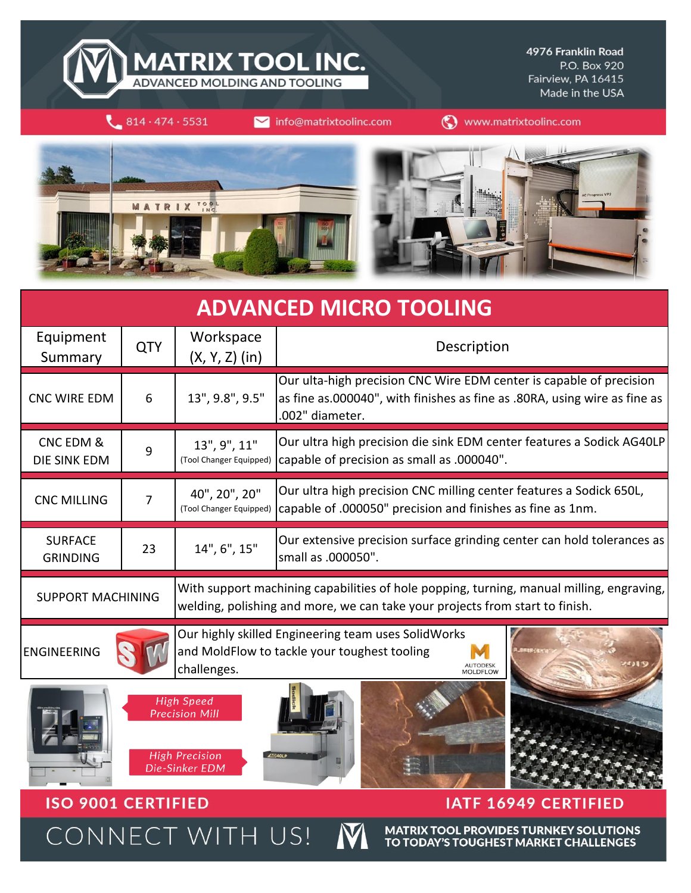

4976 Franklin Road P.O. Box 920 Fairview, PA 16415 Made in the USA

 $814.474.5531$ 

**ISO 9001 CERTIFIED** 

CONNECT WITH US!

info@matrixtoolinc.com

(V) www.matrixtoolinc.com





| <b>ADVANCED MICRO TOOLING</b>     |            |                                                                                                                                                                          |                                                                                                                                                                     |  |  |  |  |  |
|-----------------------------------|------------|--------------------------------------------------------------------------------------------------------------------------------------------------------------------------|---------------------------------------------------------------------------------------------------------------------------------------------------------------------|--|--|--|--|--|
| Equipment<br>Summary              | <b>QTY</b> | Workspace<br>$(X, Y, Z)$ (in)                                                                                                                                            | Description                                                                                                                                                         |  |  |  |  |  |
| <b>CNC WIRE EDM</b>               | 6          | 13", 9.8", 9.5"                                                                                                                                                          | Our ulta-high precision CNC Wire EDM center is capable of precision<br>as fine as.000040", with finishes as fine as .80RA, using wire as fine as<br>.002" diameter. |  |  |  |  |  |
| CNC EDM &<br>DIE SINK EDM         | 9          | 13", 9", 11"<br>(Tool Changer Equipped)                                                                                                                                  | Our ultra high precision die sink EDM center features a Sodick AG40LP<br>capable of precision as small as .000040".                                                 |  |  |  |  |  |
| <b>CNC MILLING</b>                | 7          | 40", 20", 20"<br>(Tool Changer Equipped)                                                                                                                                 | Our ultra high precision CNC milling center features a Sodick 650L,<br>capable of .000050" precision and finishes as fine as 1nm.                                   |  |  |  |  |  |
| <b>SURFACE</b><br><b>GRINDING</b> | 23         | 14", 6", 15"                                                                                                                                                             | Our extensive precision surface grinding center can hold tolerances as<br>small as .000050".                                                                        |  |  |  |  |  |
| <b>SUPPORT MACHINING</b>          |            | With support machining capabilities of hole popping, turning, manual milling, engraving,<br>welding, polishing and more, we can take your projects from start to finish. |                                                                                                                                                                     |  |  |  |  |  |
| <b>ENGINEERING</b>                |            | Our highly skilled Engineering team uses SolidWorks<br>and MoldFlow to tackle your toughest tooling<br>challenges.<br><b>MOLDELOW</b>                                    |                                                                                                                                                                     |  |  |  |  |  |
|                                   |            | <b>High Speed</b><br><b>Precision Mill</b><br><b>High Precision</b><br>Die-Sinker EDM                                                                                    |                                                                                                                                                                     |  |  |  |  |  |

**IATF 16949 CERTIFIED** 

**MATRIX TOOL PROVIDES TURNKEY SOLUTIONS** TO TODAY'S TOUGHEST MARKET CHALLENGES